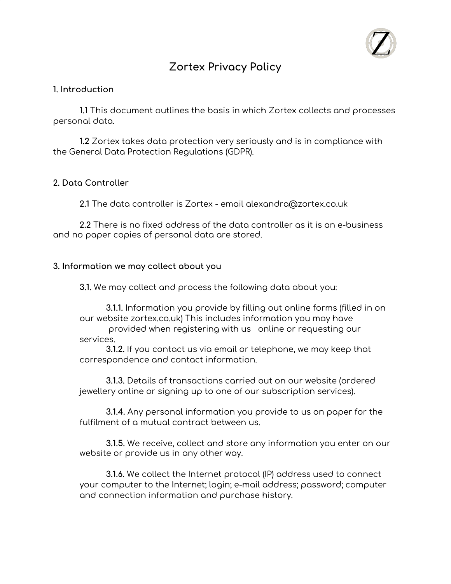

# **Zortex Privacy Policy**

### **1. Introduction**

**1.1** This document outlines the basis in which Zortex collects and processes personal data.

**1.2** Zortex takes data protection very seriously and is in compliance with the General Data Protection Regulations (GDPR).

## **2. Data Controller**

**2.1** The data controller is Zortex - email alexandra@zortex.co.uk

**2.2** There is no fixed address of the data controller as it is an e-business and no paper copies of personal data are stored.

#### **3. Information we may collect about you**

**3.1.** We may collect and process the following data about you:

**3.1.1.** Information you provide by filling out online forms (filled in on our website zortex.co.uk) This includes information you may have

provided when registering with us online or requesting our services.

**3.1.2.** If you contact us via email or telephone, we may keep that correspondence and contact information.

**3.1.3.** Details of transactions carried out on our website (ordered jewellery online or signing up to one of our subscription services).

**3.1.4.** Any personal information you provide to us on paper for the fulfilment of a mutual contract between us.

**3.1.5.** We receive, collect and store any information you enter on our website or provide us in any other way.

**3.1.6.** We collect the Internet protocol (IP) address used to connect your computer to the Internet; login; e-mail address; password; computer and connection information and purchase history.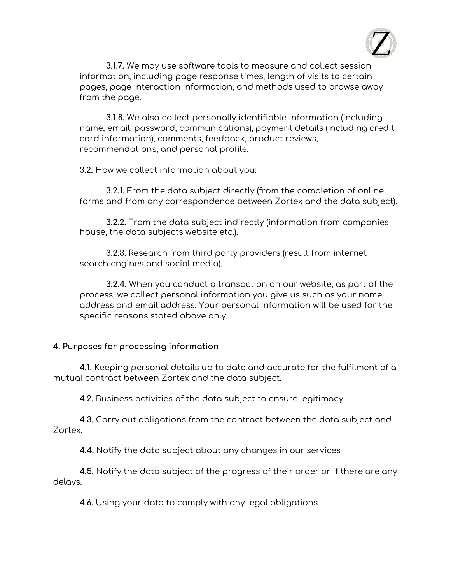

**3.1.7.** We may use software tools to measure and collect session information, including page response times, length of visits to certain pages, page interaction information, and methods used to browse away from the page.

**3.1.8.** We also collect personally identifiable information (including name, email, password, communications); payment details (including credit card information), comments, feedback, product reviews, recommendations, and personal profile.

**3.2.** How we collect information about you:

**3.2.1.** From the data subject directly (from the completion of online forms and from any correspondence between Zortex and the data subject).

**3.2.2.** From the data subject indirectly (information from companies house, the data subjects website etc.).

**3.2.3.** Research from third party providers (result from internet search engines and social media).

**3.2.4.** When you conduct a transaction on our website, as part of the process, we collect personal information you give us such as your name, address and email address. Your personal information will be used for the specific reasons stated above only.

# **4. Purposes for processing information**

**4.1.** Keeping personal details up to date and accurate for the fulfilment of a mutual contract between Zortex and the data subject.

**4.2.** Business activities of the data subject to ensure legitimacy

**4.3.** Carry out obligations from the contract between the data subject and Zortex.

**4.4.** Notify the data subject about any changes in our services

**4.5.** Notify the data subject of the progress of their order or if there are any delays.

**4.6.** Using your data to comply with any legal obligations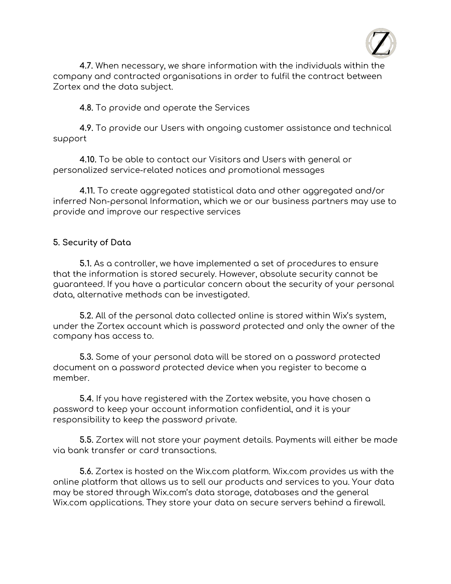

**4.7.** When necessary, we share information with the individuals within the company and contracted organisations in order to fulfil the contract between Zortex and the data subject.

**4.8.** To provide and operate the Services

**4.9.** To provide our Users with ongoing customer assistance and technical support

**4.10.** To be able to contact our Visitors and Users with general or personalized service-related notices and promotional messages

**4.11.** To create aggregated statistical data and other aggregated and/or inferred Non-personal Information, which we or our business partners may use to provide and improve our respective services

# **5. Security of Data**

**5.1.** As a controller, we have implemented a set of procedures to ensure that the information is stored securely. However, absolute security cannot be guaranteed. If you have a particular concern about the security of your personal data, alternative methods can be investigated.

**5.2.** All of the personal data collected online is stored within Wix's system, under the Zortex account which is password protected and only the owner of the company has access to.

**5.3.** Some of your personal data will be stored on a password protected document on a password protected device when you register to become a member.

**5.4.** If you have registered with the Zortex website, you have chosen a password to keep your account information confidential, and it is your responsibility to keep the password private.

**5.5.** Zortex will not store your payment details. Payments will either be made via bank transfer or card transactions.

**5.6.** Zortex is hosted on the Wix.com platform. Wix.com provides us with the online platform that allows us to sell our products and services to you. Your data may be stored through Wix.com's data storage, databases and the general Wix.com applications. They store your data on secure servers behind a firewall.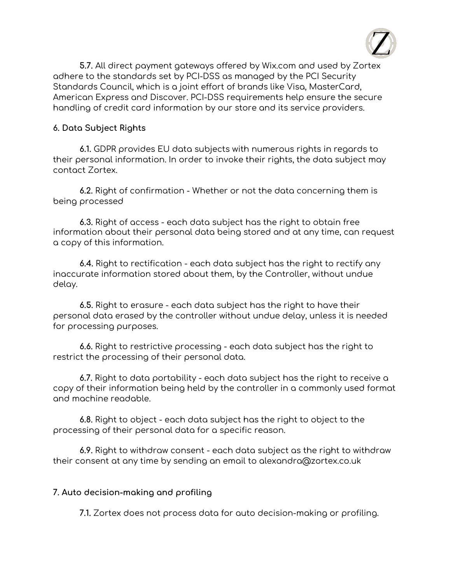

**5.7.** All direct payment gateways offered by Wix.com and used by Zortex adhere to the standards set by PCI-DSS as managed by the PCI Security Standards Council, which is a joint effort of brands like Visa, MasterCard, American Express and Discover. PCI-DSS requirements help ensure the secure handling of credit card information by our store and its service providers.

### **6. Data Subject Rights**

**6.1.** GDPR provides EU data subjects with numerous rights in regards to their personal information. In order to invoke their rights, the data subject may contact Zortex.

**6.2.** Right of confirmation - Whether or not the data concerning them is being processed

**6.3.** Right of access - each data subject has the right to obtain free information about their personal data being stored and at any time, can request a copy of this information.

**6.4.** Right to rectification - each data subject has the right to rectify any inaccurate information stored about them, by the Controller, without undue delay.

**6.5.** Right to erasure - each data subject has the right to have their personal data erased by the controller without undue delay, unless it is needed for processing purposes.

**6.6.** Right to restrictive processing - each data subject has the right to restrict the processing of their personal data.

**6.7.** Right to data portability - each data subject has the right to receive a copy of their information being held by the controller in a commonly used format and machine readable.

**6.8.** Right to object - each data subject has the right to object to the processing of their personal data for a specific reason.

**6.9.** Right to withdraw consent - each data subject as the right to withdraw their consent at any time by sending an email to alexandra@zortex.co.uk

#### **7. Auto decision-making and profiling**

**7.1.** Zortex does not process data for auto decision-making or profiling.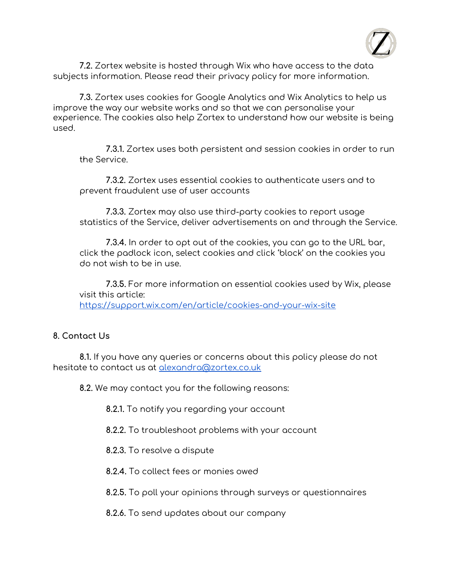

**7.2.** Zortex website is hosted through Wix who have access to the data subjects information. Please read their privacy policy for more information.

**7.3.** Zortex uses cookies for Google Analytics and Wix Analytics to help us improve the way our website works and so that we can personalise your experience. The cookies also help Zortex to understand how our website is being used.

**7.3.1.** Zortex uses both persistent and session cookies in order to run the Service.

**7.3.2.** Zortex uses essential cookies to authenticate users and to prevent fraudulent use of user accounts

**7.3.3.** Zortex may also use third-party cookies to report usage statistics of the Service, deliver advertisements on and through the Service.

**7.3.4.** In order to opt out of the cookies, you can go to the URL bar, click the padlock icon, select cookies and click 'block' on the cookies you do not wish to be in use.

**7.3.5.** For more information on essential cookies used by Wix, please visit this article: <https://support.wix.com/en/article/cookies-and-your-wix-site>

# **8. Contact Us**

**8.1.** If you have any queries or concerns about this policy please do not hesitate to contact us at [alexandra@zortex.co.uk](mailto:alexandra@zortex.co.uk)

**8.2.** We may contact you for the following reasons:

**8.2.1.** To notify you regarding your account

- **8.2.2.** To troubleshoot problems with your account
- **8.2.3.** To resolve a dispute
- **8.2.4.** To collect fees or monies owed
- **8.2.5.** To poll your opinions through surveys or questionnaires
- **8.2.6.** To send updates about our company